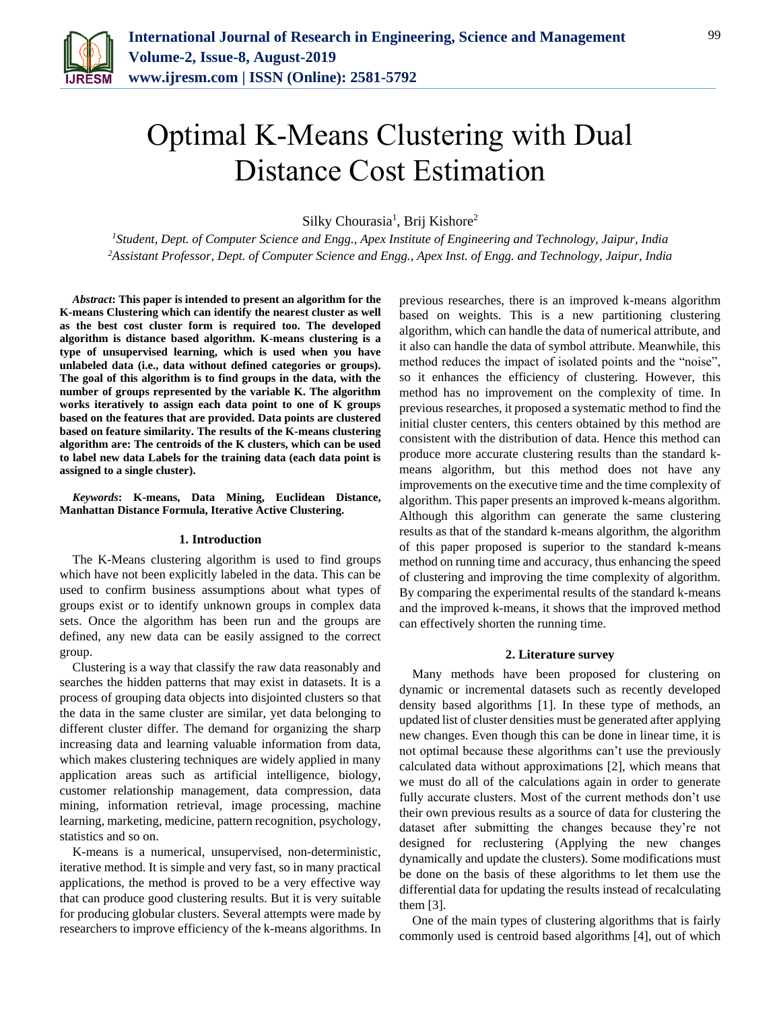

# Optimal K-Means Clustering with Dual Distance Cost Estimation

Silky Chourasia<sup>1</sup>, Brij Kishore<sup>2</sup>

*<sup>1</sup>Student, Dept. of Computer Science and Engg., Apex Institute of Engineering and Technology, Jaipur, India <sup>2</sup>Assistant Professor, Dept. of Computer Science and Engg., Apex Inst. of Engg. and Technology, Jaipur, India*

*Abstract***: This paper is intended to present an algorithm for the K-means Clustering which can identify the nearest cluster as well as the best cost cluster form is required too. The developed algorithm is distance based algorithm. K-means clustering is a type of unsupervised learning, which is used when you have unlabeled data (i.e., data without defined categories or groups). The goal of this algorithm is to find groups in the data, with the number of groups represented by the variable K. The algorithm works iteratively to assign each data point to one of K groups based on the features that are provided. Data points are clustered based on feature similarity. The results of the K-means clustering algorithm are: The centroids of the K clusters, which can be used to label new data Labels for the training data (each data point is assigned to a single cluster).**

*Keywords***: K-means, Data Mining, Euclidean Distance, Manhattan Distance Formula, Iterative Active Clustering.**

### **1. Introduction**

The K-Means clustering algorithm is used to find groups which have not been explicitly labeled in the data. This can be used to confirm business assumptions about what types of groups exist or to identify unknown groups in complex data sets. Once the algorithm has been run and the groups are defined, any new data can be easily assigned to the correct group.

Clustering is a way that classify the raw data reasonably and searches the hidden patterns that may exist in datasets. It is a process of grouping data objects into disjointed clusters so that the data in the same cluster are similar, yet data belonging to different cluster differ. The demand for organizing the sharp increasing data and learning valuable information from data, which makes clustering techniques are widely applied in many application areas such as artificial intelligence, biology, customer relationship management, data compression, data mining, information retrieval, image processing, machine learning, marketing, medicine, pattern recognition, psychology, statistics and so on.

K-means is a numerical, unsupervised, non-deterministic, iterative method. It is simple and very fast, so in many practical applications, the method is proved to be a very effective way that can produce good clustering results. But it is very suitable for producing globular clusters. Several attempts were made by researchers to improve efficiency of the k-means algorithms. In previous researches, there is an improved k-means algorithm based on weights. This is a new partitioning clustering algorithm, which can handle the data of numerical attribute, and it also can handle the data of symbol attribute. Meanwhile, this method reduces the impact of isolated points and the "noise", so it enhances the efficiency of clustering. However, this method has no improvement on the complexity of time. In previous researches, it proposed a systematic method to find the initial cluster centers, this centers obtained by this method are consistent with the distribution of data. Hence this method can produce more accurate clustering results than the standard kmeans algorithm, but this method does not have any improvements on the executive time and the time complexity of algorithm. This paper presents an improved k-means algorithm. Although this algorithm can generate the same clustering results as that of the standard k-means algorithm, the algorithm of this paper proposed is superior to the standard k-means method on running time and accuracy, thus enhancing the speed of clustering and improving the time complexity of algorithm. By comparing the experimental results of the standard k-means and the improved k-means, it shows that the improved method can effectively shorten the running time.

### **2. Literature survey**

Many methods have been proposed for clustering on dynamic or incremental datasets such as recently developed density based algorithms [1]. In these type of methods, an updated list of cluster densities must be generated after applying new changes. Even though this can be done in linear time, it is not optimal because these algorithms can't use the previously calculated data without approximations [2], which means that we must do all of the calculations again in order to generate fully accurate clusters. Most of the current methods don't use their own previous results as a source of data for clustering the dataset after submitting the changes because they're not designed for reclustering (Applying the new changes dynamically and update the clusters). Some modifications must be done on the basis of these algorithms to let them use the differential data for updating the results instead of recalculating them [3].

One of the main types of clustering algorithms that is fairly commonly used is centroid based algorithms [4], out of which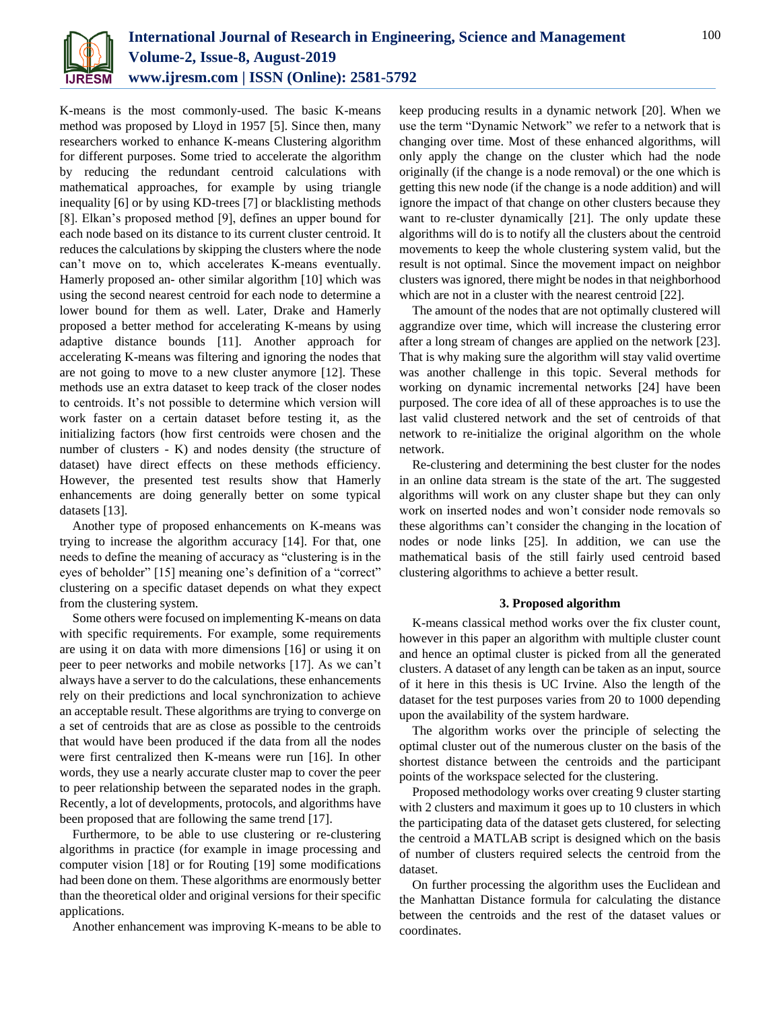

K-means is the most commonly-used. The basic K-means method was proposed by Lloyd in 1957 [5]. Since then, many researchers worked to enhance K-means Clustering algorithm for different purposes. Some tried to accelerate the algorithm by reducing the redundant centroid calculations with mathematical approaches, for example by using triangle inequality [6] or by using KD-trees [7] or blacklisting methods [8]. Elkan's proposed method [9], defines an upper bound for each node based on its distance to its current cluster centroid. It reduces the calculations by skipping the clusters where the node can't move on to, which accelerates K-means eventually. Hamerly proposed an- other similar algorithm [10] which was using the second nearest centroid for each node to determine a lower bound for them as well. Later, Drake and Hamerly proposed a better method for accelerating K-means by using adaptive distance bounds [11]. Another approach for accelerating K-means was filtering and ignoring the nodes that are not going to move to a new cluster anymore [12]. These methods use an extra dataset to keep track of the closer nodes to centroids. It's not possible to determine which version will work faster on a certain dataset before testing it, as the initializing factors (how first centroids were chosen and the number of clusters - K) and nodes density (the structure of dataset) have direct effects on these methods efficiency. However, the presented test results show that Hamerly enhancements are doing generally better on some typical datasets [13].

Another type of proposed enhancements on K-means was trying to increase the algorithm accuracy [14]. For that, one needs to define the meaning of accuracy as "clustering is in the eyes of beholder" [15] meaning one's definition of a "correct" clustering on a specific dataset depends on what they expect from the clustering system.

Some others were focused on implementing K-means on data with specific requirements. For example, some requirements are using it on data with more dimensions [16] or using it on peer to peer networks and mobile networks [17]. As we can't always have a server to do the calculations, these enhancements rely on their predictions and local synchronization to achieve an acceptable result. These algorithms are trying to converge on a set of centroids that are as close as possible to the centroids that would have been produced if the data from all the nodes were first centralized then K-means were run [16]. In other words, they use a nearly accurate cluster map to cover the peer to peer relationship between the separated nodes in the graph. Recently, a lot of developments, protocols, and algorithms have been proposed that are following the same trend [17].

Furthermore, to be able to use clustering or re-clustering algorithms in practice (for example in image processing and computer vision [18] or for Routing [19] some modifications had been done on them. These algorithms are enormously better than the theoretical older and original versions for their specific applications.

Another enhancement was improving K-means to be able to

keep producing results in a dynamic network [20]. When we use the term "Dynamic Network" we refer to a network that is changing over time. Most of these enhanced algorithms, will only apply the change on the cluster which had the node originally (if the change is a node removal) or the one which is getting this new node (if the change is a node addition) and will ignore the impact of that change on other clusters because they want to re-cluster dynamically [21]. The only update these algorithms will do is to notify all the clusters about the centroid movements to keep the whole clustering system valid, but the result is not optimal. Since the movement impact on neighbor clusters was ignored, there might be nodes in that neighborhood which are not in a cluster with the nearest centroid [22].

The amount of the nodes that are not optimally clustered will aggrandize over time, which will increase the clustering error after a long stream of changes are applied on the network [23]. That is why making sure the algorithm will stay valid overtime was another challenge in this topic. Several methods for working on dynamic incremental networks [24] have been purposed. The core idea of all of these approaches is to use the last valid clustered network and the set of centroids of that network to re-initialize the original algorithm on the whole network.

Re-clustering and determining the best cluster for the nodes in an online data stream is the state of the art. The suggested algorithms will work on any cluster shape but they can only work on inserted nodes and won't consider node removals so these algorithms can't consider the changing in the location of nodes or node links [25]. In addition, we can use the mathematical basis of the still fairly used centroid based clustering algorithms to achieve a better result.

# **3. Proposed algorithm**

K-means classical method works over the fix cluster count, however in this paper an algorithm with multiple cluster count and hence an optimal cluster is picked from all the generated clusters. A dataset of any length can be taken as an input, source of it here in this thesis is UC Irvine. Also the length of the dataset for the test purposes varies from 20 to 1000 depending upon the availability of the system hardware.

The algorithm works over the principle of selecting the optimal cluster out of the numerous cluster on the basis of the shortest distance between the centroids and the participant points of the workspace selected for the clustering.

Proposed methodology works over creating 9 cluster starting with 2 clusters and maximum it goes up to 10 clusters in which the participating data of the dataset gets clustered, for selecting the centroid a MATLAB script is designed which on the basis of number of clusters required selects the centroid from the dataset.

On further processing the algorithm uses the Euclidean and the Manhattan Distance formula for calculating the distance between the centroids and the rest of the dataset values or coordinates.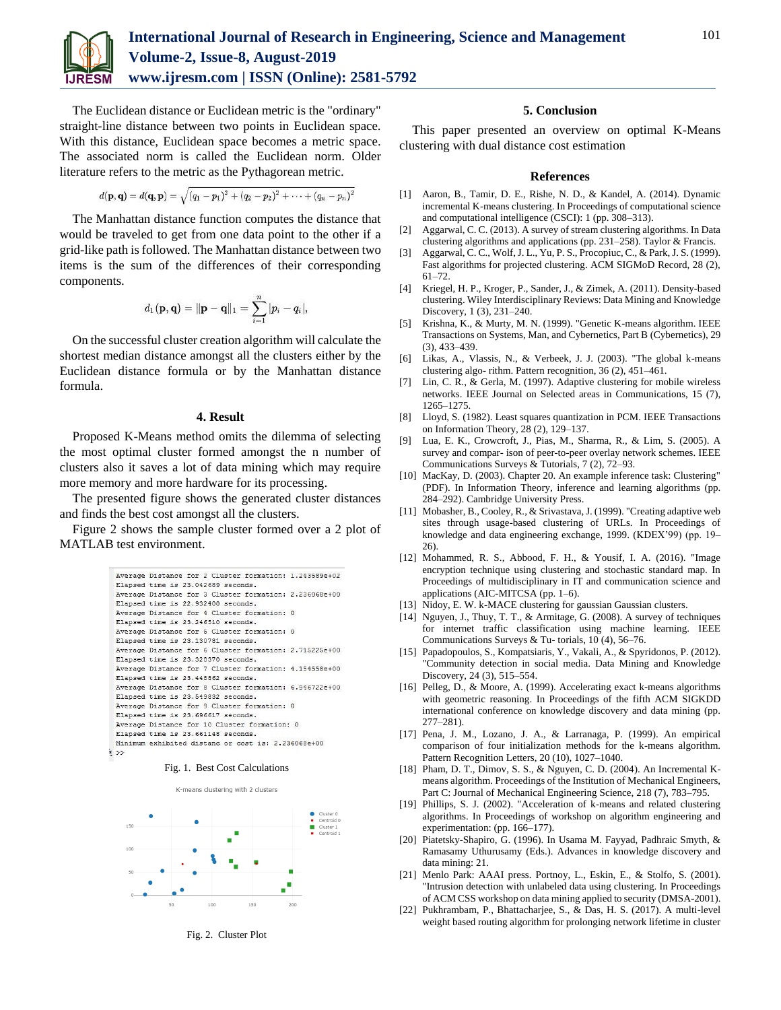

The Euclidean distance or Euclidean metric is the "ordinary" straight-line distance between two points in Euclidean space. With this distance, Euclidean space becomes a metric space. The associated norm is called the Euclidean norm. Older literature refers to the metric as the Pythagorean metric.

$$
d(\mathbf{p},\mathbf{q})=d(\mathbf{q},\mathbf{p})=\sqrt{(q_1-p_1)^2+(q_2-p_2)^2+\cdots+(q_n-p_n)^2}
$$

The Manhattan distance function computes the distance that would be traveled to get from one data point to the other if a grid-like path is followed. The Manhattan distance between two items is the sum of the differences of their corresponding components.

$$
d_1(\mathbf{p},\mathbf{q})=\|\mathbf{p}-\mathbf{q}\|_1=\sum_{i=1}^n|p_i-q_i|,
$$

On the successful cluster creation algorithm will calculate the shortest median distance amongst all the clusters either by the Euclidean distance formula or by the Manhattan distance formula.

# **4. Result**

Proposed K-Means method omits the dilemma of selecting the most optimal cluster formed amongst the n number of clusters also it saves a lot of data mining which may require more memory and more hardware for its processing.

The presented figure shows the generated cluster distances and finds the best cost amongst all the clusters.

Figure 2 shows the sample cluster formed over a 2 plot of MATLAB test environment.

|        | Average Distance for 2 Cluster formation: 1.243589e+02 |
|--------|--------------------------------------------------------|
|        | Elapsed time is 23.042689 seconds.                     |
|        | Average Distance for 3 Cluster formation: 2.236068e+00 |
|        | Elapsed time is 22.932400 seconds.                     |
|        | Average Distance for 4 Cluster formation: 0            |
|        | Elapsed time is 23.246510 seconds.                     |
|        | Average Distance for 5 Cluster formation: 0            |
|        | Elapsed time is 23.130781 seconds.                     |
|        | Average Distance for 6 Cluster formation: 2.715225e+00 |
|        | Elapsed time is 23.328370 seconds.                     |
|        | Average Distance for 7 Cluster formation: 4.154558e+00 |
|        | Elapsed time is 23.448862 seconds.                     |
|        | Average Distance for 8 Cluster formation: 6.946722e+00 |
|        | Elapsed time is 23.549832 seconds.                     |
|        | Average Distance for 9 Cluster formation: 0            |
|        | Elapsed time is 23.696617 seconds.                     |
|        | Average Distance for 10 Cluster formation: 0           |
|        | Elapsed time is 23.661148 seconds.                     |
|        | Minimum exhibited distanc or cost is: 2.236068e+00     |
| $\sim$ |                                                        |

#### Fig. 1. Best Cost Calculations



Fig. 2. Cluster Plot

# **5. Conclusion**

This paper presented an overview on optimal K-Means clustering with dual distance cost estimation

#### **References**

- [1] Aaron, B., Tamir, D. E., Rishe, N. D., & Kandel, A. (2014). Dynamic incremental K-means clustering. In Proceedings of computational science and computational intelligence (CSCI): 1 (pp. 308–313).
- [2] Aggarwal, C. C. (2013). A survey of stream clustering algorithms. In Data clustering algorithms and applications (pp. 231–258). Taylor & Francis.
- [3] Aggarwal, C. C., Wolf, J. L., Yu, P. S., Procopiuc, C., & Park, J. S. (1999). Fast algorithms for projected clustering. ACM SIGMoD Record, 28 (2), 61–72.
- [4] Kriegel, H. P., Kroger, P., Sander, J., & Zimek, A. (2011). Density-based clustering. Wiley Interdisciplinary Reviews: Data Mining and Knowledge Discovery, 1 (3), 231–240.
- [5] Krishna, K., & Murty, M. N. (1999). "Genetic K-means algorithm. IEEE Transactions on Systems, Man, and Cybernetics, Part B (Cybernetics), 29 (3), 433–439.
- [6] Likas, A., Vlassis, N., & Verbeek, J. J. (2003). "The global k-means clustering algo- rithm. Pattern recognition, 36 (2), 451–461.
- [7] Lin, C. R., & Gerla, M. (1997). Adaptive clustering for mobile wireless networks. IEEE Journal on Selected areas in Communications, 15 (7), 1265–1275.
- [8] Lloyd, S. (1982). Least squares quantization in PCM. IEEE Transactions on Information Theory, 28 (2), 129–137.
- Lua, E. K., Crowcroft, J., Pias, M., Sharma, R., & Lim, S. (2005). A survey and compar- ison of peer-to-peer overlay network schemes. IEEE Communications Surveys & Tutorials, 7 (2), 72–93.
- [10] MacKay, D. (2003). Chapter 20. An example inference task: Clustering" (PDF). In Information Theory, inference and learning algorithms (pp. 284–292). Cambridge University Press.
- [11] Mobasher, B., Cooley, R., & Srivastava, J. (1999). "Creating adaptive web sites through usage-based clustering of URLs. In Proceedings of knowledge and data engineering exchange, 1999. (KDEX'99) (pp. 19– 26).
- [12] Mohammed, R. S., Abbood, F. H., & Yousif, I. A. (2016). "Image encryption technique using clustering and stochastic standard map. In Proceedings of multidisciplinary in IT and communication science and applications (AIC-MITCSA (pp. 1–6).
- [13] Nidoy, E. W. k-MACE clustering for gaussian Gaussian clusters.
- [14] Nguyen, J., Thuy, T. T., & Armitage, G. (2008). A survey of techniques for internet traffic classification using machine learning. IEEE Communications Surveys & Tu- torials, 10 (4), 56–76.
- [15] Papadopoulos, S., Kompatsiaris, Y., Vakali, A., & Spyridonos, P. (2012). "Community detection in social media. Data Mining and Knowledge Discovery, 24 (3), 515–554.
- [16] Pelleg, D., & Moore, A. (1999). Accelerating exact k-means algorithms with geometric reasoning. In Proceedings of the fifth ACM SIGKDD international conference on knowledge discovery and data mining (pp. 277–281).
- [17] Pena, J. M., Lozano, J. A., & Larranaga, P. (1999). An empirical comparison of four initialization methods for the k-means algorithm. Pattern Recognition Letters, 20 (10), 1027–1040.
- [18] Pham, D. T., Dimov, S. S., & Nguyen, C. D. (2004). An Incremental Kmeans algorithm. Proceedings of the Institution of Mechanical Engineers, Part C: Journal of Mechanical Engineering Science, 218 (7), 783–795.
- [19] Phillips, S. J. (2002). "Acceleration of k-means and related clustering algorithms. In Proceedings of workshop on algorithm engineering and experimentation: (pp. 166–177).
- [20] Piatetsky-Shapiro, G. (1996). In Usama M. Fayyad, Padhraic Smyth, & Ramasamy Uthurusamy (Eds.). Advances in knowledge discovery and data mining: 21.
- [21] Menlo Park: AAAI press. Portnoy, L., Eskin, E., & Stolfo, S. (2001). "Intrusion detection with unlabeled data using clustering. In Proceedings of ACM CSS workshop on data mining applied to security (DMSA-2001).
- [22] Pukhrambam, P., Bhattacharjee, S., & Das, H. S. (2017). A multi-level weight based routing algorithm for prolonging network lifetime in cluster